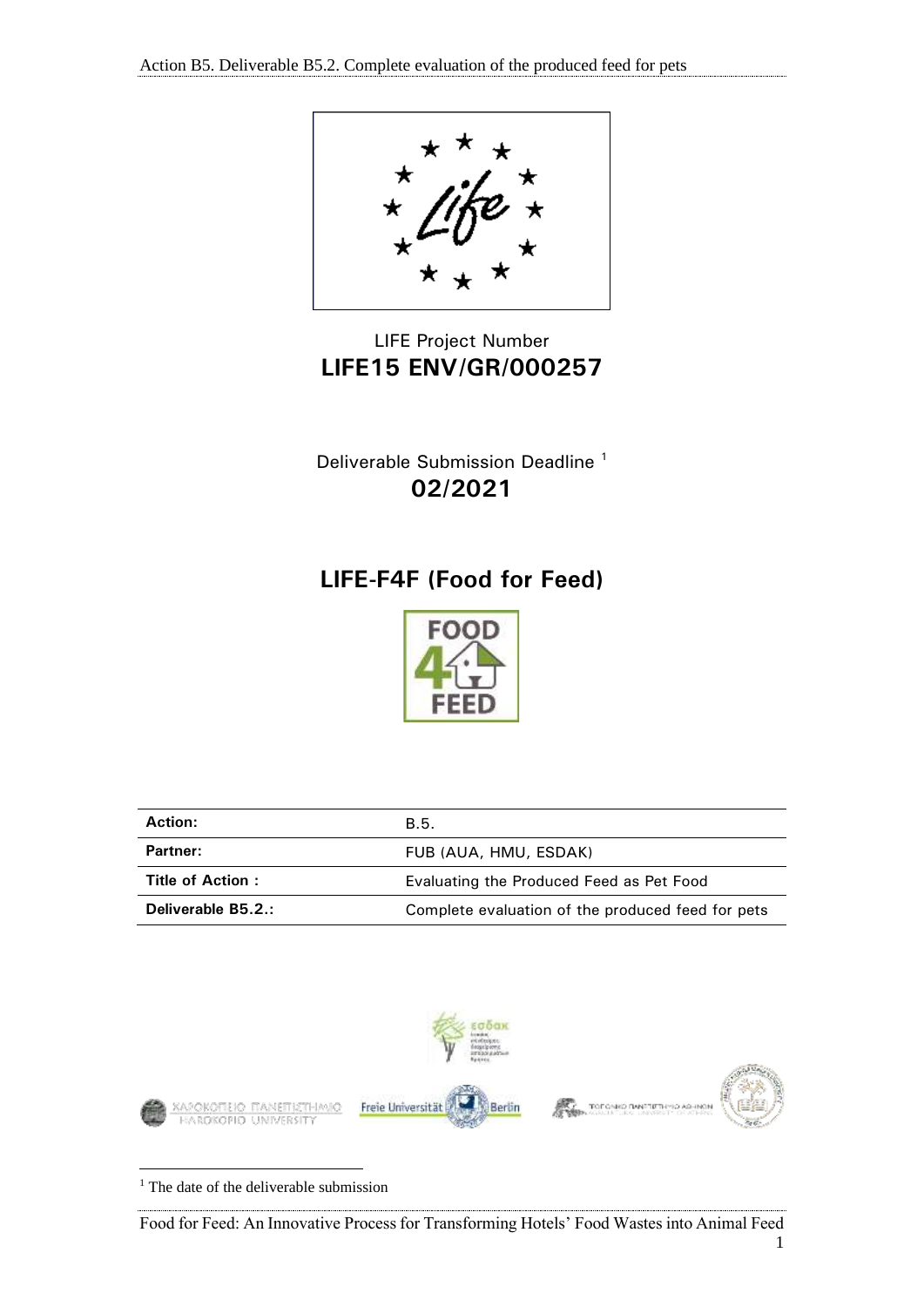

## LIFE Project Number **LIFE15 ENV/GR/000257**

Deliverable Submission Deadline<sup>1</sup> **02/2021**

# **LIFE-F4F (Food for Feed)**



| <b>Action:</b>     | B.5.                                              |
|--------------------|---------------------------------------------------|
| <b>Partner:</b>    | FUB (AUA, HMU, ESDAK)                             |
| Title of Action:   | Evaluating the Produced Feed as Pet Food          |
| Deliverable B5.2.: | Complete evaluation of the produced feed for pets |



<sup>1</sup> The date of the deliverable submission